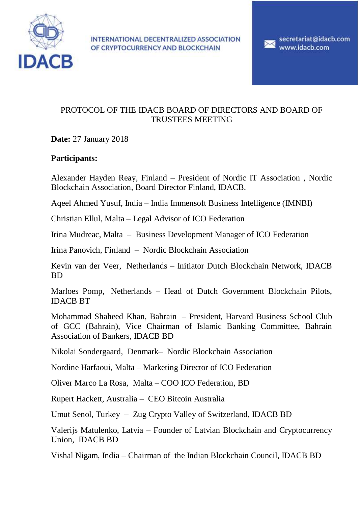

INTERNATIONAL DECENTRALIZED ASSOCIATION OF CRYPTOCURRENCY AND BLOCKCHAIN

secretariat@idacb.com www.idacb.com

### PROTOCOL OF THE IDACB BOARD OF DIRECTORS AND BOARD OF TRUSTEES MEETING

**Date:** 27 January 2018

# **Participants:**

Alexander Hayden Reay, Finland – President of Nordic IT Association , Nordic Blockchain Association, Board Director Finland, IDACB.

Aqeel Ahmed Yusuf, India – India Immensoft Business Intelligence (IMNBI)

Christian Ellul, Malta – Legal Advisor of ICO Federation

Irina Mudreac, Malta – Business Development Manager of ICO Federation

Irina Panovich, Finland – Nordic Blockchain Association

Kevin van der Veer, Netherlands – Initiator Dutch Blockchain Network, IDACB BD

Marloes Pomp, Netherlands – Head of Dutch Government Blockchain Pilots, IDACB BT

Mohammad Shaheed Khan, Bahrain – President, Harvard Business School Club of GCC (Bahrain), Vice Chairman of Islamic Banking Committee, Bahrain Association of Bankers, IDACB BD

Nikolai Sondergaard, Denmark– Nordic Blockchain Association

Nordine Harfaoui, Malta – Marketing Director of ICO Federation

Oliver Marco La Rosa, Malta – COO ICO Federation, BD

Rupert Hackett, Australia – CEO Bitcoin Australia

Umut Senol, Turkey – Zug Crypto Valley of Switzerland, IDACB BD

Valerijs Matulenko, Latvia – Founder of Latvian Blockchain and Cryptocurrency Union, IDACB BD

Vishal Nigam, India – Chairman of the Indian Blockchain Council, IDACB BD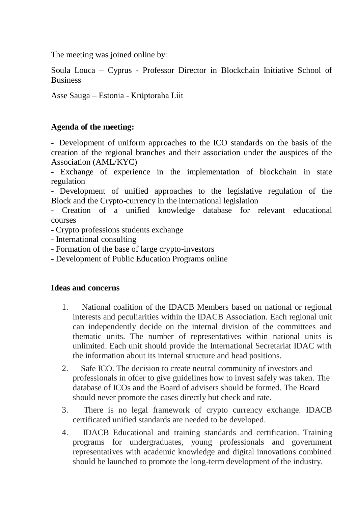The meeting was joined online by:

Soula Louca – Cyprus - Professor Director in Blockchain Initiative School of **Business** 

Asse Sauga – Estonia - Krüptoraha Liit

# **Agenda of the meeting:**

- Development of uniform approaches to the ICO standards on the basis of the creation of the regional branches and their association under the auspices of the Association (AML/KYC)

- Exchange of experience in the implementation of blockchain in state regulation

- Development of unified approaches to the legislative regulation of the Block and the Crypto-currency in the international legislation

- Creation of a unified knowledge database for relevant educational courses

- Crypto professions students exchange
- International consulting
- Formation of the base of large crypto-investors
- Development of Public Education Programs online

# **Ideas and concerns**

- 1. National coalition of the IDACB Members based on national or regional interests and peculiarities within the IDACB Association. Each regional unit can independently decide on the internal division of the committees and thematic units. The number of representatives within national units is unlimited. Each unit should provide the International Secretariat IDAC with the information about its internal structure and head positions.
- 2. Safe ICO. The decision to create neutral community of investors and professionals in ofder to give guidelines how to invest safely was taken. The database of ICOs and the Board of advisers should be formed. The Board should never promote the cases directly but check and rate.
- 3. There is no legal framework of crypto currency exchange. IDACB certificated unified standards are needed to be developed.
- 4. IDACB Educational and training standards and certification. Training programs for undergraduates, young professionals and government representatives with academic knowledge and digital innovations combined should be launched to promote the long-term development of the industry.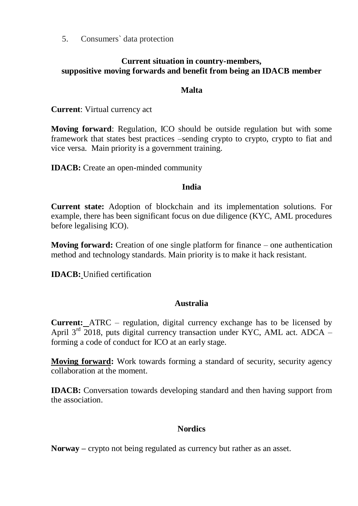5. Consumers` data protection

### **Current situation in country-members, suppositive moving forwards and benefit from being an IDACB member**

### **Malta**

**Current**: Virtual currency act

**Moving forward**: Regulation, ICO should be outside regulation but with some framework that states best practices –sending crypto to crypto, crypto to fiat and vice versa. Main priority is a government training.

**IDACB:** Create an open-minded community

#### **India**

**Current state:** Adoption of blockchain and its implementation solutions. For example, there has been significant focus on due diligence (KYC, AML procedures before legalising ICO).

**Moving forward:** Creation of one single platform for finance – one authentication method and technology standards. Main priority is to make it hack resistant.

**IDACB:** Unified certification

### **Australia**

**Current:** ATRC – regulation, digital currency exchange has to be licensed by April  $3<sup>rd</sup>$  2018, puts digital currency transaction under KYC, AML act. ADCA – forming a code of conduct for ICO at an early stage.

**Moving forward:** Work towards forming a standard of security, security agency collaboration at the moment.

**IDACB:** Conversation towards developing standard and then having support from the association.

# **Nordics**

**Norway –** crypto not being regulated as currency but rather as an asset.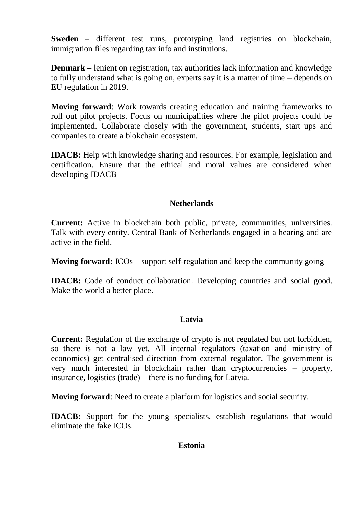**Sweden** – different test runs, prototyping land registries on blockchain, immigration files regarding tax info and institutions.

**Denmark –** lenient on registration, tax authorities lack information and knowledge to fully understand what is going on, experts say it is a matter of time – depends on EU regulation in 2019.

**Moving forward**: Work towards creating education and training frameworks to roll out pilot projects. Focus on municipalities where the pilot projects could be implemented. Collaborate closely with the government, students, start ups and companies to create a blokchain ecosystem.

**IDACB:** Help with knowledge sharing and resources. For example, legislation and certification. Ensure that the ethical and moral values are considered when developing IDACB

### **Netherlands**

**Current:** Active in blockchain both public, private, communities, universities. Talk with every entity. Central Bank of Netherlands engaged in a hearing and are active in the field.

**Moving forward:** ICOs – support self-regulation and keep the community going

**IDACB:** Code of conduct collaboration. Developing countries and social good. Make the world a better place.

#### **Latvia**

**Current:** Regulation of the exchange of crypto is not regulated but not forbidden, so there is not a law yet. All internal regulators (taxation and ministry of economics) get centralised direction from external regulator. The government is very much interested in blockchain rather than cryptocurrencies – property, insurance, logistics (trade) – there is no funding for Latvia.

**Moving forward**: Need to create a platform for logistics and social security.

**IDACB:** Support for the young specialists, establish regulations that would eliminate the fake ICOs.

#### **Estonia**